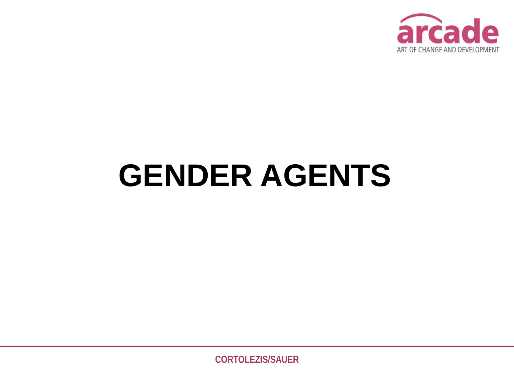

# **GENDER AGENTS**

**CORTOLEZIS/SAUER**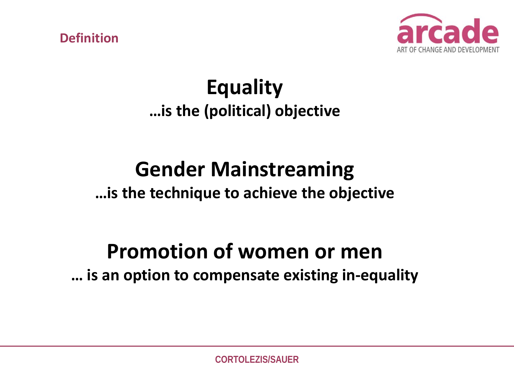**Definition**



## **Equality …is the (political) objective**

# **Gender Mainstreaming**

### **…is the technique to achieve the objective**

## **Promotion of women or men … is an option to compensate existing in-equality**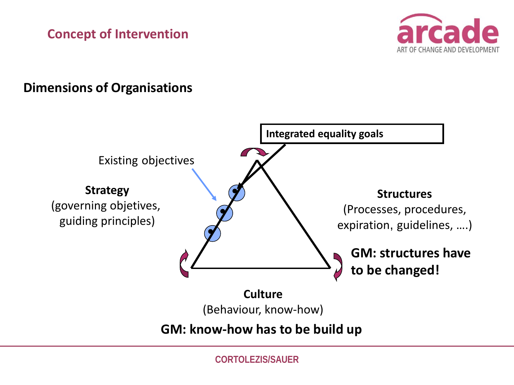#### **Concept of Intervention**



#### **Dimensions of Organisations**



**CORTOLEZIS/SAUER**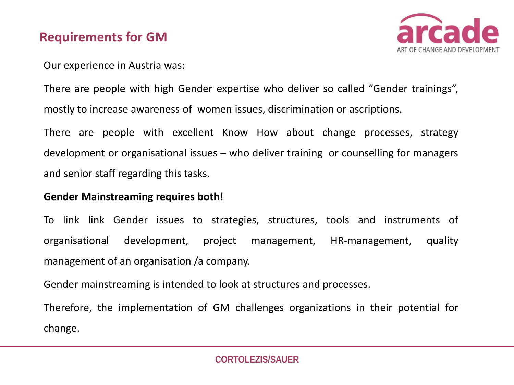#### **Requirements for GM**



Our experience in Austria was:

There are people with high Gender expertise who deliver so called "Gender trainings", mostly to increase awareness of women issues, discrimination or ascriptions.

There are people with excellent Know How about change processes, strategy development or organisational issues – who deliver training or counselling for managers and senior staff regarding this tasks.

#### **Gender Mainstreaming requires both!**

To link link Gender issues to strategies, structures, tools and instruments of organisational development, project management, HR-management, quality management of an organisation /a company.

Gender mainstreaming is intended to look at structures and processes.

Therefore, the implementation of GM challenges organizations in their potential for change.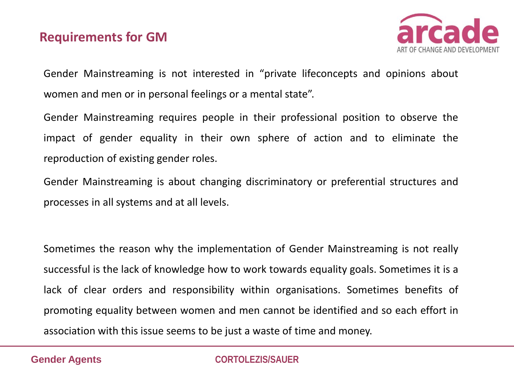#### **Requirements for GM**



Gender Mainstreaming is not interested in "private lifeconcepts and opinions about women and men or in personal feelings or a mental state".

Gender Mainstreaming requires people in their professional position to observe the impact of gender equality in their own sphere of action and to eliminate the reproduction of existing gender roles.

Gender Mainstreaming is about changing discriminatory or preferential structures and processes in all systems and at all levels.

Sometimes the reason why the implementation of Gender Mainstreaming is not really successful is the lack of knowledge how to work towards equality goals. Sometimes it is a lack of clear orders and responsibility within organisations. Sometimes benefits of promoting equality between women and men cannot be identified and so each effort in association with this issue seems to be just a waste of time and money.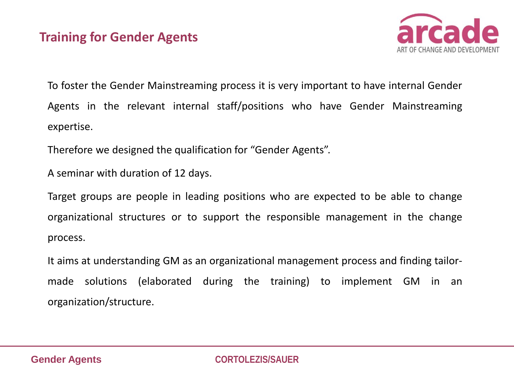

To foster the Gender Mainstreaming process it is very important to have internal Gender Agents in the relevant internal staff/positions who have Gender Mainstreaming expertise.

Therefore we designed the qualification for "Gender Agents".

A seminar with duration of 12 days.

Target groups are people in leading positions who are expected to be able to change organizational structures or to support the responsible management in the change process.

It aims at understanding GM as an organizational management process and finding tailormade solutions (elaborated during the training) to implement GM in an organization/structure.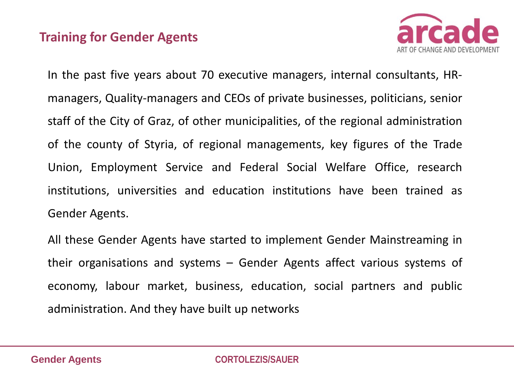#### **Training for Gender Agents**



In the past five years about 70 executive managers, internal consultants, HRmanagers, Quality-managers and CEOs of private businesses, politicians, senior staff of the City of Graz, of other municipalities, of the regional administration of the county of Styria, of regional managements, key figures of the Trade Union, Employment Service and Federal Social Welfare Office, research institutions, universities and education institutions have been trained as Gender Agents.

All these Gender Agents have started to implement Gender Mainstreaming in their organisations and systems – Gender Agents affect various systems of economy, labour market, business, education, social partners and public administration. And they have built up networks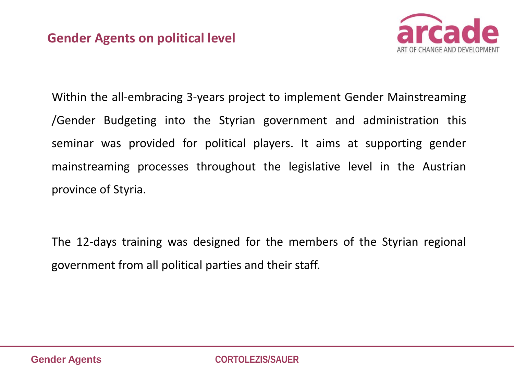

Within the all-embracing 3-years project to implement Gender Mainstreaming /Gender Budgeting into the Styrian government and administration this seminar was provided for political players. It aims at supporting gender mainstreaming processes throughout the legislative level in the Austrian province of Styria.

The 12-days training was designed for the members of the Styrian regional government from all political parties and their staff.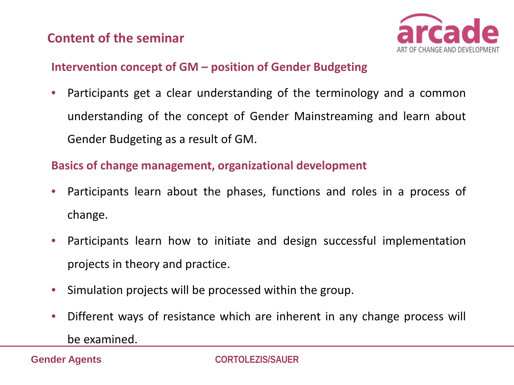#### **Content of the seminar**



#### **Intervention concept of GM – position of Gender Budgeting**

• Participants get a clear understanding of the terminology and a common understanding of the concept of Gender Mainstreaming and learn about Gender Budgeting as a result of GM.

#### **Basics of change management, organizational development**

- Participants learn about the phases, functions and roles in a process of change.
- Participants learn how to initiate and design successful implementation projects in theory and practice.
- Simulation projects will be processed within the group.
- Different ways of resistance which are inherent in any change process will

be examined.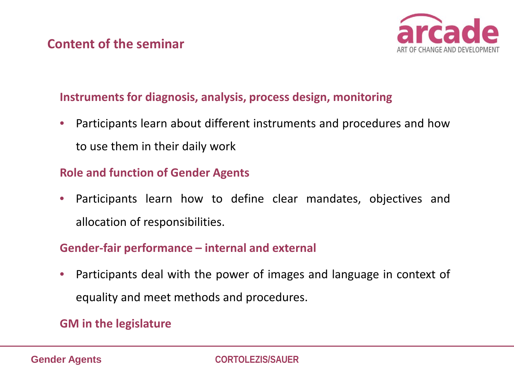

#### **Instruments for diagnosis, analysis, process design, monitoring**

• Participants learn about different instruments and procedures and how to use them in their daily work

#### **Role and function of Gender Agents**

• Participants learn how to define clear mandates, objectives and allocation of responsibilities.

#### **Gender-fair performance – internal and external**

• Participants deal with the power of images and language in context of equality and meet methods and procedures.

#### **GM in the legislature**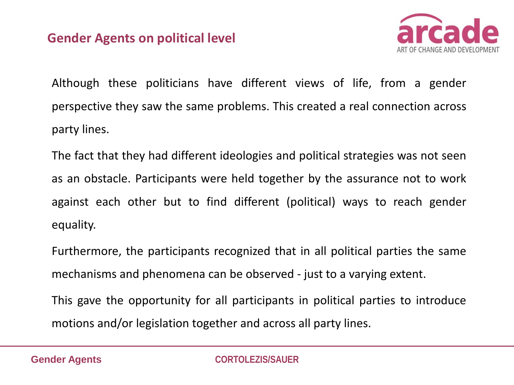#### **Gender Agents on political level**



Although these politicians have different views of life, from a gender perspective they saw the same problems. This created a real connection across party lines.

The fact that they had different ideologies and political strategies was not seen as an obstacle. Participants were held together by the assurance not to work against each other but to find different (political) ways to reach gender equality.

Furthermore, the participants recognized that in all political parties the same mechanisms and phenomena can be observed - just to a varying extent.

This gave the opportunity for all participants in political parties to introduce motions and/or legislation together and across all party lines.